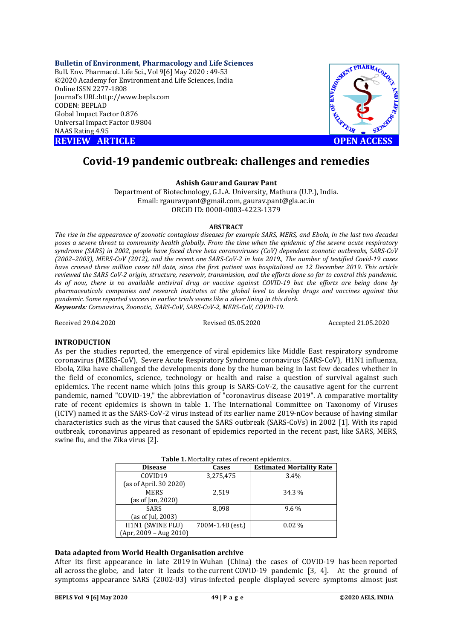**Bulletin of Environment, Pharmacology and Life Sciences** Bull. Env. Pharmacol. Life Sci., Vol 9[6] May 2020 : 49-53 ©2020 Academy for Environment and Life Sciences, India Online ISSN 2277-1808 Journal's URL:<http://www.bepls.com> CODEN: BEPLAD Global Impact Factor 0.876 Universal Impact Factor 0.9804 NAAS Rating 4.95





# **Covid-19 pandemic outbreak: challenges and remedies**

## **Ashish Gaur and Gaurav Pant**

Department of Biotechnology, G.L.A. University, Mathura (U.P.), India. Email: [rgauravpant@gmail.com,](mailto:rgauravpant@gmail.com,) [gaurav.pant@gla.ac.in](mailto:gaurav.pant@gla.ac.in) ORCiD ID: 0000-0003-4223-1379

## **ABSTRACT**

*The rise in the appearance of zoonotic contagious diseases for example SARS, MERS, and Ebola, in the last two decades poses a severe threat to community health globally. From the time when the epidemic of the severe acute respiratory syndrome (SARS) in 2002, people have faced three beta coronaviruses (CoV) dependent zoonotic outbreaks, SARS-CoV (2002–2003), MERS-CoV (2012), and the recent one SARS-CoV-2 in late 2019., The number of testified Covid-19 cases have crossed three million cases till date, since the first patient was hospitalized on 12 December 2019. This article reviewed the SARS CoV-2 origin, structure, reservoir, transmission, and the efforts done so far to control this pandemic. As of now, there is no available antiviral drug or vaccine against COVID-19 but the efforts are being done by pharmaceuticals companies and research institutes at the global level to develop drugs and vaccines against this pandemic. Some reported success in earlier trials seems like a silver lining in this dark. Keywords: Coronavirus, Zoonotic, SARS-CoV, SARS-CoV-2, MERS-CoV, COVID-19.*

Received 29.04.2020 Revised 05.05.2020 Accepted 21.05.2020

## **INTRODUCTION**

As per the studies reported, the emergence of viral epidemics like Middle East respiratory syndrome coronavirus (MERS-CoV), Severe Acute Respiratory Syndrome coronavirus (SARS-CoV), H1N1 influenza, Ebola, Zika have challenged the developments done by the human being in last few decades whether in the field of economics, science, technology or health and raise a question of survival against such epidemics. The recent name which joins this group is SARS-CoV-2, the causative agent for the current pandemic, named "COVID-19," the abbreviation of "coronavirus disease 2019". A comparative mortality rate of recent epidemics is shown in table 1. The International Committee on Taxonomy of Viruses (ICTV) named it as the SARS-CoV-2 virus instead of its earlier name 2019-nCov because of having similar characteristics such as the virus that caused the SARS outbreak (SARS-CoVs) in 2002 [1]. With its rapid outbreak, coronavirus appeared as resonant of epidemics reported in the recent past, like SARS, MERS, swine flu, and the Zika virus [2].

| <b>Table 1.</b> Mortality rates of recent epidemics. |                  |                                 |  |  |
|------------------------------------------------------|------------------|---------------------------------|--|--|
| <b>Disease</b>                                       | Cases            | <b>Estimated Mortality Rate</b> |  |  |
| COVID19                                              | 3,275,475        | 3.4%                            |  |  |
| (as of April. 30 2020)                               |                  |                                 |  |  |
| <b>MERS</b>                                          | 2,519            | 34.3 %                          |  |  |
| (as of Jan, 2020)                                    |                  |                                 |  |  |
| <b>SARS</b>                                          | 8.098            | $9.6\%$                         |  |  |
| (as of Jul, 2003)                                    |                  |                                 |  |  |
| H1N1 (SWINE FLU)                                     | 700M-1.4B (est.) | $0.02\%$                        |  |  |
| $(Apr, 2009 - Aug 2010)$                             |                  |                                 |  |  |

## **Table 1.** Mortality rates of recent epidemics.

## **Data adapted from World Health Organisation archive**

After its first appearance in late 2019 in Wuhan (China) the cases of COVID-19 has been reported all across the globe, and later it leads to the current COVID-19 pandemic [3, 4]. At the ground of symptoms appearance SARS (2002-03) virus-infected people displayed severe symptoms almost just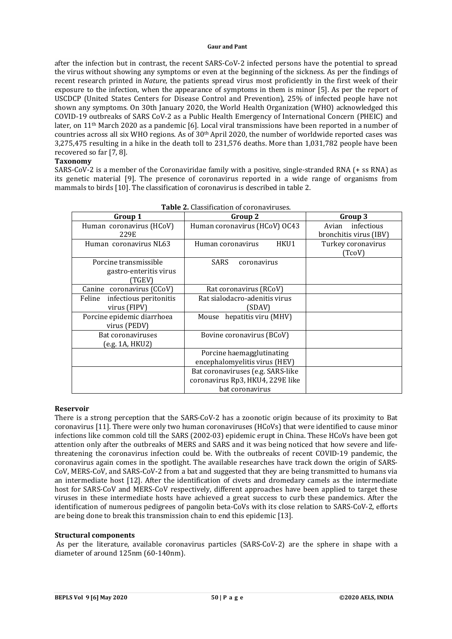after the infection but in contrast, the recent SARS-CoV-2 infected persons have the potential to spread the virus without showing any symptoms or even at the beginning of the sickness. As per the findings of recent research printed in *Nature,* the patients spread virus most proficiently in the first week of their exposure to the infection, when the appearance of symptoms in them is minor [5]. As per the report of USCDCP (United States Centers for Disease Control and Prevention), 25% of infected people have not shown any symptoms. On 30th January 2020, the World Health Organization (WHO) acknowledged this COVID-19 outbreaks of SARS CoV-2 as a Public Health Emergency of International Concern (PHEIC) and later, on 11th March 2020 as a pandemic [6]. Local viral transmissions have been reported in a number of countries across all six WHO regions. As of  $30<sup>th</sup>$  April 2020, the number of worldwide reported cases was 3,275,475 resulting in a hike in the death toll to 231,576 deaths. More than 1,031,782 people have been recovered so far [7, 8].

## **Taxonomy**

SARS-CoV-2 is a member of the Coronaviridae family with a positive, single-stranded RNA (+ ss RNA) as its genetic material [9]. The presence of coronavirus reported in a wide range of organisms from mammals to birds [10]. The classification of coronavirus is described in table 2.

| Group 1                                                   | Group 2                                                                                  | Group 3                                    |
|-----------------------------------------------------------|------------------------------------------------------------------------------------------|--------------------------------------------|
| Human coronavirus (HCoV)<br>229E                          | Human coronavirus (HCoV) OC43                                                            | Avian infectious<br>bronchitis virus (IBV) |
| Human coronavirus NL63                                    | Human coronavirus<br>HKU1                                                                | Turkey coronavirus<br>(TcoV)               |
| Porcine transmissible<br>gastro-enteritis virus<br>'TGEV) | SARS<br>coronavirus                                                                      |                                            |
| Canine coronavirus (CCoV)                                 | Rat coronavirus (RCoV)                                                                   |                                            |
| infectious peritonitis<br>Feline<br>virus (FIPV)          | Rat sialodacro-adenitis virus<br>(SDAV)                                                  |                                            |
| Porcine epidemic diarrhoea<br>virus (PEDV)                | Mouse hepatitis viru (MHV)                                                               |                                            |
| Bat coronaviruses<br>(e.g. 1A, HKU2)                      | Bovine coronavirus (BCoV)                                                                |                                            |
|                                                           | Porcine haemagglutinating<br>encephalomyelitis virus (HEV)                               |                                            |
|                                                           | Bat coronaviruses (e.g. SARS-like<br>coronavirus Rp3, HKU4, 229E like<br>bat coronavirus |                                            |

|  |  | <b>Table 2.</b> Classification of coronaviruses. |  |  |
|--|--|--------------------------------------------------|--|--|
|--|--|--------------------------------------------------|--|--|

## **Reservoir**

There is a strong perception that the SARS-CoV-2 has a zoonotic origin because of its proximity to Bat coronavirus [11]. There were only two human coronaviruses (HCoVs) that were identified to cause minor infections like common cold till the SARS (2002-03) epidemic erupt in China. These HCoVs have been got attention only after the outbreaks of MERS and SARS and it was being noticed that how severe and lifethreatening the coronavirus infection could be. With the outbreaks of recent COVID-19 pandemic, the coronavirus again comes in the spotlight. The available researches have track down the origin of SARS-CoV, MERS-CoV, and SARS-CoV-2 from a bat and suggested that they are being transmitted to humans via an intermediate host [12]. After the identification of civets and dromedary camels as the intermediate host for SARS-CoV and MERS-CoV respectively, different approaches have been applied to target these viruses in these intermediate hosts have achieved a great success to curb these pandemics. After the identification of numerous pedigrees of pangolin beta-CoVs with its close relation to SARS-CoV-2, efforts are being done to break this transmission chain to end this epidemic [13].

## **Structural components**

As per the literature, available coronavirus particles (SARS-CoV-2) are the sphere in shape with a diameter of around 125nm (60-140nm).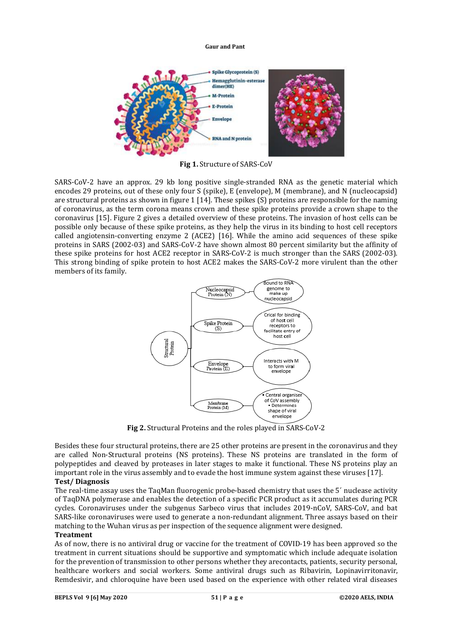

**Fig 1.** Structure of SARS-CoV

SARS-CoV-2 have an approx. 29 kb long positive single-stranded RNA as the genetic material which encodes 29 proteins, out of these only four S (spike), E (envelope), M (membrane), and N (nucleocapsid) are structural proteins as shown in figure 1 [14]. These spikes (S) proteins are responsible for the naming of coronavirus, as the term corona means crown and these spike proteins provide a crown shape to the coronavirus [15]. Figure 2 gives a detailed overview of these proteins. The invasion of host cells can be possible only because of these spike proteins, as they help the virus in its binding to host cell receptors called angiotensin-converting enzyme 2 (ACE2) [16]. While the amino acid sequences of these spike proteins in SARS (2002-03) and SARS-CoV-2 have shown almost 80 percent similarity but the affinity of these spike proteins for host ACE2 receptor in SARS-CoV-2 is much stronger than the SARS (2002-03). This strong binding of spike protein to host ACE2 makes the SARS-CoV-2 more virulent than the other members of its family.



**Fig 2.** Structural Proteins and the roles played in SARS-CoV-2

Besides these four structural proteins, there are 25 other proteins are present in the coronavirus and they are called Non-Structural proteins (NS proteins). These NS proteins are translated in the form of polypeptides and cleaved by proteases in later stages to make it functional. These NS proteins play an important role in the virus assembly and to evade the host immune system against these viruses [17]. **Test/ Diagnosis**

The real-time assay uses the TaqMan fluorogenic probe-based chemistry that uses the 5´ nuclease activity of TaqDNA polymerase and enables the detection of a specific PCR product as it accumulates during PCR cycles. Coronaviruses under the subgenus Sarbeco virus that includes 2019-nCoV, SARS-CoV, and bat SARS-like coronaviruses were used to generate a non-redundant alignment. Three assays based on their matching to the Wuhan virus as per inspection of the sequence alignment were designed.

## **Treatment**

As of now, there is no antiviral drug or vaccine for the treatment of COVID-19 has been approved so the treatment in current situations should be supportive and symptomatic which include adequate isolation for the prevention of transmission to other persons whether they arecontacts, patients, security personal, healthcare workers and social workers. Some antiviral drugs such as Ribavirin, Lopinavirritonavir, Remdesivir, and chloroquine have been used based on the experience with other related viral diseases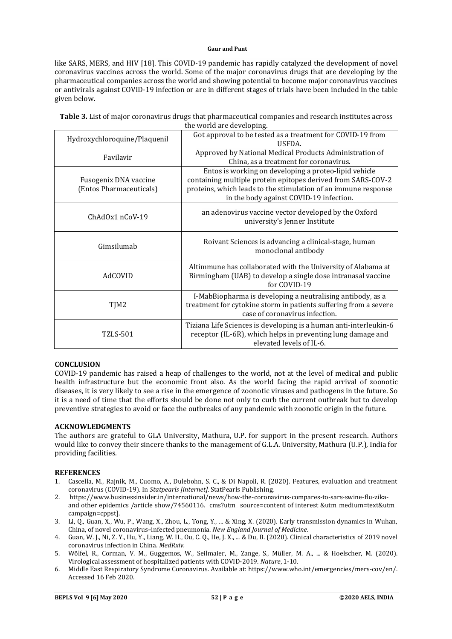like SARS, MERS, and HIV [18]. This COVID-19 pandemic has rapidly catalyzed the development of novel coronavirus vaccines across the world. Some of the major coronavirus drugs that are developing by the pharmaceutical companies across the world and showing potential to become major coronavirus vaccines or antivirals against COVID-19 infection or are in different stages of trials have been included in the table given below.

| Table 3. List of major coronavirus drugs that pharmaceutical companies and research institutes across |  |
|-------------------------------------------------------------------------------------------------------|--|
| the world are developing.                                                                             |  |

| Hydroxychloroquine/Plaquenil                     | Got approval to be tested as a treatment for COVID-19 from<br><b>USEDA.</b>                                                                                                                                                        |
|--------------------------------------------------|------------------------------------------------------------------------------------------------------------------------------------------------------------------------------------------------------------------------------------|
| Favilavir                                        | Approved by National Medical Products Administration of<br>China, as a treatment for coronavirus.                                                                                                                                  |
| Fusogenix DNA vaccine<br>(Entos Pharmaceuticals) | Entos is working on developing a proteo-lipid vehicle<br>containing multiple protein epitopes derived from SARS-COV-2<br>proteins, which leads to the stimulation of an immune response<br>in the body against COVID-19 infection. |
| $ChAdOx1$ n $CoV-19$                             | an adenovirus vaccine vector developed by the Oxford<br>university's Jenner Institute                                                                                                                                              |
| Gimsilumab                                       | Roivant Sciences is advancing a clinical-stage, human<br>monoclonal antibody                                                                                                                                                       |
| AdCOVID                                          | Altimmune has collaborated with the University of Alabama at<br>Birmingham (UAB) to develop a single dose intranasal vaccine<br>for COVID-19                                                                                       |
| TJM2                                             | I-MabBiopharma is developing a neutralising antibody, as a<br>treatment for cytokine storm in patients suffering from a severe<br>case of coronavirus infection.                                                                   |
| TZLS-501                                         | Tiziana Life Sciences is developing is a human anti-interleukin-6<br>receptor (IL-6R), which helps in preventing lung damage and<br>elevated levels of IL-6.                                                                       |

## **CONCLUSION**

COVID-19 pandemic has raised a heap of challenges to the world, not at the level of medical and public health infrastructure but the economic front also. As the world facing the rapid arrival of zoonotic diseases, it is very likely to see a rise in the emergence of zoonotic viruses and pathogens in the future. So it is a need of time that the efforts should be done not only to curb the current outbreak but to develop preventive strategies to avoid or face the outbreaks of any pandemic with zoonotic origin in the future.

## **ACKNOWLEDGMENTS**

The authors are grateful to GLA University, Mathura, U.P. for support in the present research. Authors would like to convey their sincere thanks to the management of G.L.A. University, Mathura (U.P.), India for providing facilities.

## **REFERENCES**

- 1. Cascella, M., Rajnik, M., Cuomo, A., Dulebohn, S. C., & Di Napoli, R. (2020). Features, evaluation and treatment coronavirus (COVID-19). In *Statpearls [internet]*. StatPearls Publishing.
- 2. [https://www.businessinsider.in/international/news/how-the-coronavirus-compares-to-sars-swine-flu-zika](https://www.businessinsider.in/international/news/how-the-coronavirus-compares-to-sars-swine-flu-zika-)and other epidemics /article show/74560116. cms?utm\_source=content of interest &utm\_medium=text&utm campaign=cppst].
- 3. Li, Q., Guan, X., Wu, P., Wang, X., Zhou, L., Tong, Y., ... & Xing, X. (2020). Early transmission dynamics in Wuhan, China, of novel coronavirus–infected pneumonia. *New England Journal of Medicine*.
- 4. Guan, W. J., Ni, Z. Y., Hu, Y., Liang, W. H., Ou, C. Q., He, J. X., ... & Du, B. (2020). Clinical characteristics of 2019 novel coronavirus infection in China. *MedRxiv.*
- 5. Wölfel, R., Corman, V. M., Guggemos, W., Seilmaier, M., Zange, S., Müller, M. A., ... & Hoelscher, M. (2020). Virological assessment of hospitalized patients with COVID-2019. *Nature*, 1-10.
- 6. Middle East Respiratory Syndrome Coronavirus. Available at: <https://www.who.int/emergencies/mers-cov/en/.> Accessed 16 Feb 2020.